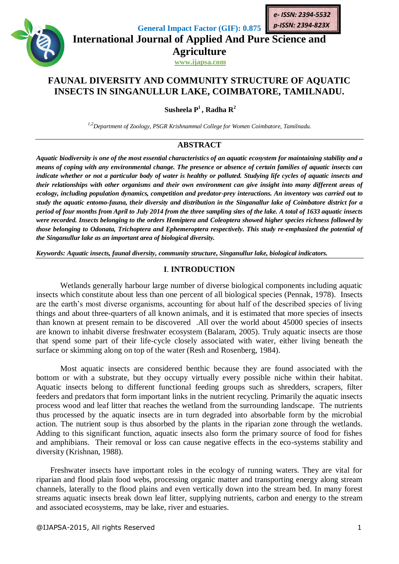

**General Impact Factor (GIF): 0.875**

**International Journal of Applied And Pure Science and Agriculture**

**www.ijapsa.com**

# **FAUNAL DIVERSITY AND COMMUNITY STRUCTURE OF AQUATIC INSECTS IN SINGANULLUR LAKE, COIMBATORE, TAMILNADU.**

**Susheela P<sup>1</sup> , Radha R<sup>2</sup>**

*1,2Department of Zoology, PSGR Krishnammal College for Women Coimbatore, [Tamilnadu](mailto:Tamilnadu.susheelasomu@gmail.com).*

# **ABSTRACT**

*Aquatic biodiversity is one of the most essential characteristics of an aquatic ecosystem for maintaining stability and a means of coping with any environmental change. The presence or absence of certain families of aquatic insects can indicate whether or not a particular body of water is healthy or polluted. Studying life cycles of aquatic insects and their relationships with other organisms and their own environment can give insight into many different areas of ecology, including population dynamics, competition and predator-prey interactions. An inventory was carried out to study the aquatic entomo-fauna, their diversity and distribution in the Singanallur lake of Coimbatore district for a period of four months from April to July 2014 from the three sampling sites of the lake. A total of 1633 aquatic insects were recorded. Insects belonging to the orders Hemiptera and Coleoptera showed higher species richness followed by those belonging to Odonata, Trichoptera and Ephemeroptera respectively. This study re-emphasized the potential of the Singanullur lake as an important area of biological diversity.*

*Keywords: Aquatic insects, faunal diversity, community structure, Singanullur lake, biological indicators.*

# **I**. **INTRODUCTION**

Wetlands generally harbour large number of diverse biological components including aquatic insects which constitute about less than one percent of all biological species (Pennak, 1978). Insects are the earth's most diverse organisms, accounting for about half of the described species of living things and about three-quarters of all known animals, and it is estimated that more species of insects than known at present remain to be discovered .All over the world about 45000 species of insects are known to inhabit diverse freshwater ecosystem (Balaram, 2005). Truly aquatic insects are those that spend some part of their life-cycle closely associated with water, either living beneath the surface or skimming along on top of the water (Resh and Rosenberg, 1984).

Most aquatic insects are considered benthic because they are found associated with the bottom or with a substrate, but they occupy virtually every possible niche within their habitat. Aquatic insects belong to different functional feeding groups such as shredders, scrapers, filter feeders and predators that form important links in the nutrient recycling. Primarily the aquatic insects process wood and leaf litter that reaches the wetland from the surrounding landscape. The nutrients thus processed by the aquatic insects are in turn degraded into absorbable form by the microbial action. The nutrient soup is thus absorbed by the plants in the riparian zone through the wetlands. Adding to this significant function, aquatic insects also form the primary source of food for fishes and amphibians. Their removal or loss can cause negative effects in the eco-systems stability and diversity (Krishnan, 1988).

 Freshwater insects have important roles in the ecology of running waters. They are vital for riparian and flood plain food webs, processing organic matter and transporting energy along stream channels, laterally to the flood plains and even vertically down into the stream bed. In many forest streams aquatic insects break down leaf litter, supplying nutrients, carbon and energy to the stream and associated ecosystems, may be lake, river and estuaries.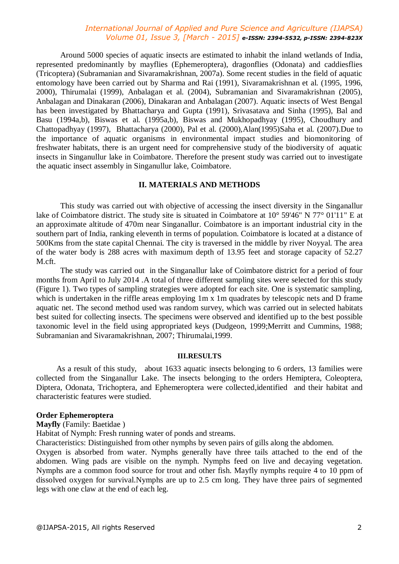Around 5000 species of aquatic insects are estimated to inhabit the inland wetlands of India, represented predominantly by mayflies (Ephemeroptera), dragonflies (Odonata) and caddiesflies (Tricoptera) (Subramanian and Sivaramakrishnan, 2007a). Some recent studies in the field of aquatic entomology have been carried out by Sharma and Rai (1991), Sivaramakrishnan et al. (1995, 1996, 2000), Thirumalai (1999), Anbalagan et al. (2004), Subramanian and Sivaramakrishnan (2005), Anbalagan and Dinakaran (2006), Dinakaran and Anbalagan (2007). Aquatic insects of West Bengal has been investigated by Bhattacharya and Gupta (1991), Srivasatava and Sinha (1995), Bal and Basu (1994a,b), Biswas et al. (1995a,b), Biswas and Mukhopadhyay (1995), Choudhury and Chattopadhyay (1997), Bhattacharya (2000), Pal et al. (2000),Alan(1995)Saha et al. (2007).Due to the importance of aquatic organisms in environmental impact studies and biomonitoring of freshwater habitats, there is an urgent need for comprehensive study of the biodiversity of aquatic insects in Singanullur lake in Coimbatore. Therefore the present study was carried out to investigate the aquatic insect assembly in Singanullur lake, Coimbatore.

#### **II. MATERIALS AND METHODS**

This study was carried out with objective of accessing the insect diversity in the Singanallur lake of Coimbatore district. The study site is situated in Coimbatore at [10° 59'46" N 77° 01'11" E](http://tools.wmflabs.org/geohack/geohack.php?pagename=Geography_of_Coimbatore¶ms=11.0161_N_76.971_E_) at an approximate altitude of 470m near Singanallur. Coimbatore is an important industrial city in the southern part of India, ranking eleventh in terms of population. Coimbatore is located at a distance of 500Kms from the state capital Chennai. The city is traversed in the middle by river Noyyal. The area of the water body is 288 acres with maximum depth of 13.95 feet and storage capacity of 52.27 M.cft.

The study was carried out in the Singanallur lake of Coimbatore district for a period of four months from April to July 2014 .A total of three different sampling sites were selected for this study (Figure 1). Two types of sampling strategies were adopted for each site. One is systematic sampling, which is undertaken in the riffle areas employing 1m x 1m quadrates by telescopic nets and D frame aquatic net. The second method used was random survey, which was carried out in selected habitats best suited for collecting insects. The specimens were observed and identified up to the best possible taxonomic level in the field using appropriated keys (Dudgeon, 1999;Merritt and Cummins, 1988; Subramanian and Sivaramakrishnan, 2007; Thirumalai,1999.

#### **III.RESULTS**

 As a result of this study, about 1633 aquatic insects belonging to 6 orders, 13 families were collected from the Singanallur Lake. The insects belonging to the orders Hemiptera, Coleoptera, Diptera, Odonata, Trichoptera, and Ephemeroptera were collected,identified and their habitat and characteristic features were studied.

#### **Order Ephemeroptera**

#### **Mayfly** (Family: Baetidae )

Habitat of Nymph: Fresh running water of ponds and streams.

Characteristics: Distinguished from other nymphs by seven pairs of gills along the abdomen.

Oxygen is absorbed from water. Nymphs generally have three tails attached to the end of the abdomen. Wing pads are visible on the nymph. Nymphs feed on live and decaying vegetation. Nymphs are a common food source for trout and other fish. Mayfly nymphs require 4 to 10 ppm of dissolved oxygen for survival.Nymphs are up to 2.5 cm long. They have three pairs of segmented legs with one claw at the end of each leg.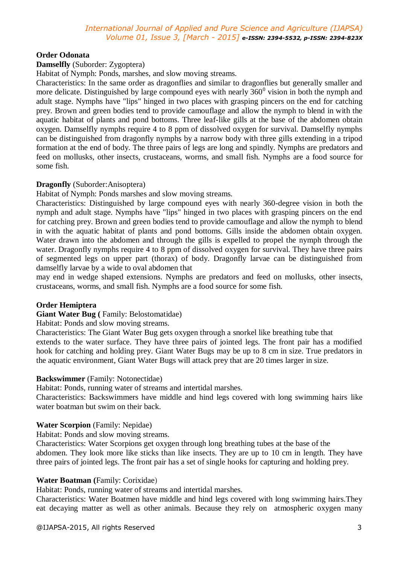# **Order Odonata**

### **Damselfly** (Suborder: Zygoptera)

Habitat of Nymph: Ponds, marshes, and slow moving streams.

Characteristics: In the same order as dragonflies and similar to dragonflies but generally smaller and more delicate. Distinguished by large compound eyes with nearly  $360^{\circ}$  vision in both the nymph and adult stage. Nymphs have "lips" hinged in two places with grasping pincers on the end for catching prey. Brown and green bodies tend to provide camouflage and allow the nymph to blend in with the aquatic habitat of plants and pond bottoms. Three leaf-like gills at the base of the abdomen obtain oxygen. Damselfly nymphs require 4 to 8 ppm of dissolved oxygen for survival. Damselfly nymphs can be distinguished from dragonfly nymphs by a narrow body with three gills extending in a tripod formation at the end of body. The three pairs of legs are long and spindly. Nymphs are predators and feed on mollusks, other insects, crustaceans, worms, and small fish. Nymphs are a food source for some fish.

### **Dragonfly** (Suborder:Anisoptera)

Habitat of Nymph: Ponds marshes and slow moving streams.

Characteristics: Distinguished by large compound eyes with nearly 360-degree vision in both the nymph and adult stage. Nymphs have "lips" hinged in two places with grasping pincers on the end for catching prey. Brown and green bodies tend to provide camouflage and allow the nymph to blend in with the aquatic habitat of plants and pond bottoms. Gills inside the abdomen obtain oxygen. Water drawn into the abdomen and through the gills is expelled to propel the nymph through the water. Dragonfly nymphs require 4 to 8 ppm of dissolved oxygen for survival. They have three pairs of segmented legs on upper part (thorax) of body. Dragonfly larvae can be distinguished from damselfly larvae by a wide to oval abdomen that

may end in wedge shaped extensions. Nymphs are predators and feed on mollusks, other insects, crustaceans, worms, and small fish. Nymphs are a food source for some fish.

# **Order Hemiptera**

### **Giant Water Bug (** Family: Belostomatidae)

Habitat: Ponds and slow moving streams.

Characteristics: The Giant Water Bug gets oxygen through a snorkel like breathing tube that extends to the water surface. They have three pairs of jointed legs. The front pair has a modified hook for catching and holding prey. Giant Water Bugs may be up to 8 cm in size. True predators in the aquatic environment, Giant Water Bugs will attack prey that are 20 times larger in size.

### **Backswimmer** (Family: Notonectidae)

Habitat: Ponds, running water of streams and intertidal marshes.

Characteristics: Backswimmers have middle and hind legs covered with long swimming hairs like water boatman but swim on their back.

### **Water Scorpion** (Family: Nepidae)

Habitat: Ponds and slow moving streams.

Characteristics: Water Scorpions get oxygen through long breathing tubes at the base of the abdomen. They look more like sticks than like insects. They are up to 10 cm in length. They have three pairs of jointed legs. The front pair has a set of single hooks for capturing and holding prey.

### **Water Boatman (**Family: Corixidae)

Habitat: Ponds, running water of streams and intertidal marshes.

Characteristics: Water Boatmen have middle and hind legs covered with long swimming hairs.They eat decaying matter as well as other animals. Because they rely on atmospheric oxygen many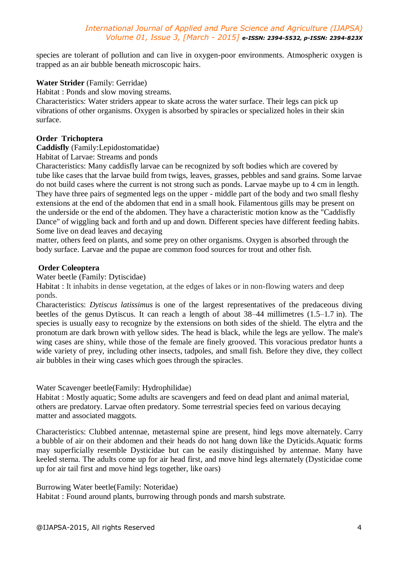species are tolerant of pollution and can live in oxygen-poor environments. Atmospheric oxygen is trapped as an air bubble beneath microscopic hairs.

#### **Water Strider** (Family: Gerridae)

Habitat : Ponds and slow moving streams.

Characteristics: Water striders appear to skate across the water surface. Their legs can pick up vibrations of other organisms. Oxygen is absorbed by spiracles or specialized holes in their skin surface.

#### **Order Trichoptera**

**Caddisfly** (Family:Lepidostomatidae)

Habitat of Larvae: Streams and ponds

Characteristics: Many caddisfly larvae can be recognized by soft bodies which are covered by tube like cases that the larvae build from twigs, leaves, grasses, pebbles and sand grains. Some larvae do not build cases where the current is not strong such as ponds. Larvae maybe up to 4 cm in length. They have three pairs of segmented legs on the upper - middle part of the body and two small fleshy extensions at the end of the abdomen that end in a small hook. Filamentous gills may be present on the underside or the end of the abdomen. They have a characteristic motion know as the "Caddisfly Dance" of wiggling back and forth and up and down. Different species have different feeding habits. Some live on dead leaves and decaying

matter, others feed on plants, and some prey on other organisms. Oxygen is absorbed through the body surface. Larvae and the pupae are common food sources for trout and other fish.

#### **Order Coleoptera**

Water beetle (Family: Dytiscidae)

Habitat : It inhabits in dense vegetation, at the edges of lakes or in non-flowing waters and deep ponds.

Characteristics: *Dytiscus latissimus* is one of the largest representatives of the predaceous diving beetles of the genus [Dytiscus.](http://en.wikipedia.org/wiki/Dytiscus) It can reach a length of about 38–44 millimetres (1.5–1.7 in). The species is usually easy to recognize by the extensions on both sides of the shield. The [elytra](http://en.wikipedia.org/wiki/Elytra) and the pronotum are dark brown with yellow sides. The head is black, while the [legs](http://en.wikipedia.org/wiki/Arthropod_leg) are yellow. The male's wing cases are shiny, while those of the female are finely grooved. This voracious predator hunts a wide variety of prey, including other [insects,](http://en.wikipedia.org/wiki/Insect) [tadpoles,](http://en.wikipedia.org/wiki/Tadpole) and small [fish.](http://en.wikipedia.org/wiki/Fish) Before they dive, they collect air bubbles in their wing cases which goes through the spiracles.

Water Scavenger beetle(Family: Hydrophilidae)

Habitat : Mostly aquatic; Some adults are scavengers and feed on dead plant and animal material, others are predatory. Larvae often predatory. Some terrestrial species feed on various decaying matter and associated maggots.

Characteristics: Clubbed antennae, metasternal spine are present, hind legs move alternately. Carry a bubble of air on their abdomen and their heads do not hang down like the Dyticids.Aquatic forms may superficially resemble Dysticidae but can be easily distinguished by antennae. Many have keeled sterna. The adults come up for air head first, and move hind legs alternately (Dysticidae come up for air tail first and move hind legs together, like oars)

#### Burrowing Water beetle(Family: Noteridae)

Habitat : Found around plants, burrowing through ponds and marsh substrate.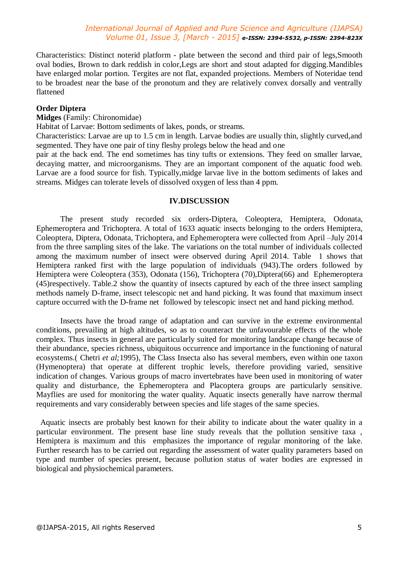Characteristics: Distinct noterid platform - plate between the second and third pair of legs,Smooth oval bodies, Brown to dark reddish in color,Legs are short and stout adapted for digging.Mandibles have enlarged molar portion. Tergites are not flat, expanded projections. Members of Noteridae tend to be broadest near the base of the pronotum and they are relatively convex dorsally and ventrally flattened

## **Order Diptera**

**Midges** (Family: Chironomidae)

Habitat of Larvae: Bottom sediments of lakes, ponds, or streams.

Characteristics: Larvae are up to 1.5 cm in length. Larvae bodies are usually thin, slightly curved,and segmented. They have one pair of tiny fleshy prolegs below the head and one

pair at the back end. The end sometimes has tiny tufts or extensions. They feed on smaller larvae, decaying matter, and microorganisms. They are an important component of the aquatic food web. Larvae are a food source for fish. Typically,midge larvae live in the bottom sediments of lakes and streams. Midges can tolerate levels of dissolved oxygen of less than 4 ppm.

#### **IV.DISCUSSION**

The present study recorded six orders-Diptera, Coleoptera, Hemiptera, Odonata, Ephemeroptera and Trichoptera. A total of 1633 aquatic insects belonging to the orders Hemiptera, Coleoptera, Diptera, Odonata, Trichoptera, and Ephemeroptera were collected from April –July 2014 from the three sampling sites of the lake. The variations on the total number of individuals collected among the maximum number of insect were observed during April 2014. Table 1 shows that Hemiptera ranked first with the large population of individuals (943).The orders followed by Hemiptera were Coleoptera (353), Odonata (156), Trichoptera (70),Diptera(66) and Ephemeroptera (45)respectively. Table.2 show the quantity of insects captured by each of the three insect sampling methods namely D-frame, insect telescopic net and hand picking. It was found that maximum insect capture occurred with the D-frame net followed by telescopic insect net and hand picking method.

Insects have the broad range of adaptation and can survive in the extreme environmental conditions, prevailing at high altitudes, so as to counteract the unfavourable effects of the whole complex. Thus insects in general are particularly suited for monitoring landscape change because of their abundance, species richness, ubiquitous occurrence and importance in the functioning of natural ecosystems.( Chetri *et al;*1995), The Class Insecta also has several members, even within one taxon (Hymenoptera) that operate at different trophic levels, therefore providing varied, sensitive indication of changes. Various groups of macro invertebrates have been used in monitoring of water quality and disturbance, the Ephemeroptera and Placoptera groups are particularly sensitive. Mayflies are used for monitoring the water quality. Aquatic insects generally have narrow thermal requirements and vary considerably between species and life stages of the same species.

 Aquatic insects are probably best known for their ability to indicate about the water quality in a particular environment. The present base line study reveals that the pollution sensitive taxa , Hemiptera is maximum and this emphasizes the importance of regular monitoring of the lake. Further research has to be carried out regarding the assessment of water quality parameters based on type and number of species present, because pollution status of water bodies are expressed in biological and physiochemical parameters.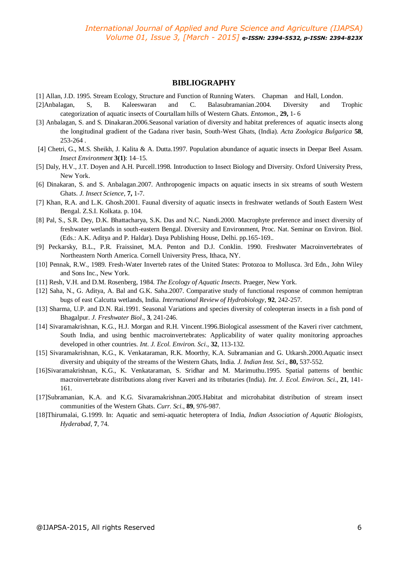#### **BIBLIOGRAPHY**

- [1] Allan, J.D. 1995. Stream Ecology, Structure and Function of Running Waters. Chapman and Hall, London.
- [2]Anbalagan, S, B. Kaleeswaran and C. Balasubramanian.2004. Diversity and Trophic categorization of aquatic insects of Courtallam hills of Western Ghats. *Entomon*., **29,** 1- 6
- [3] Anbalagan, S. and S. Dinakaran.2006.Seasonal variation of diversity and habitat preferences of aquatic insects along the longitudinal gradient of the Gadana river basin, South-West Ghats, (India). *Acta Zoologica Bulgarica* **58**, 253-264 .
- [4] Chetri, G., M.S. Sheikh, J. Kalita & A. Dutta.1997. Population abundance of aquatic insects in Deepar Beel Assam. *Insect Environment* **3(1)**: 14–15.
- [5] Daly, H.V., J.T. Doyen and A.H. Purcell.1998. Introduction to Insect Biology and Diversity. Oxford University Press, New York.
- [6] Dinakaran, S. and S. Anbalagan.2007. Anthropogenic impacts on aquatic insects in six streams of south Western Ghats. *J. Insect Science*, **7,** 1-7.
- [7] Khan, R.A. and L.K. Ghosh.2001. Faunal diversity of aquatic insects in freshwater wetlands of South Eastern West Bengal. Z.S.I. Kolkata. p. 104.
- [8] Pal, S., S.R. Dey, D.K. Bhattacharya, S.K. Das and N.C. Nandi.2000. Macrophyte preference and insect diversity of freshwater wetlands in south-eastern Bengal. Diversity and Environment, Proc. Nat. Seminar on Environ. Biol. (Eds.: A.K. Aditya and P. Haldar). Daya Publishing House, Delhi. pp.165-169..
- [9] Peckarsky, B.L., P.R. Fraissinet, M.A. Penton and D.J. Conklin. 1990. Freshwater Macroinvertebrates of Northeastern North America. Cornell University Press, Ithaca, NY.
- [10] Pennak, R.W., 1989. Fresh-Water Inverteb rates of the United States: Protozoa to Mollusca. 3rd Edn., John Wiley and Sons Inc., New York.
- [11] Resh, V.H. and D.M. Rosenberg, 1984. *The Ecology of Aquatic Insects*. Praeger, New York.
- [12] Saha, N., G. Aditya, A. Bal and G.K. Saha.2007. Comparative study of functional response of common hemiptran bugs of east Calcutta wetlands, India. *International Review of Hydrobiology*, **92**, 242-257.
- [13] Sharma, U.P. and D.N. Rai.1991. Seasonal Variations and species diversity of coleopteran insects in a fish pond of Bhagalpur. *J. Freshwater Biol*., **3**, 241-246.
- [14] Sivaramakrishnan, K.G., H.J. Morgan and R.H. Vincent.1996.Biological assessment of the Kaveri river catchment, South India, and using benthic macroinvertebrates: Applicability of water quality monitoring approaches developed in other countries. *Int. J. Ecol. Environ. Sci*., **32**, 113-132.
- [15] Sivaramakrishnan, K.G., K. Venkataraman, R.K. Moorthy, K.A. Subramanian and G. Utkarsh.2000.Aquatic insect diversity and ubiquity of the streams of the Western Ghats, India. *J. Indian Inst. Sci*., **80,** 537-552.
- [16]Sivaramakrishnan, K.G., K. Venkataraman, S. Sridhar and M. Marimuthu.1995. Spatial patterns of benthic macroinvertebrate distributions along river Kaveri and its tributaries (India). *Int. J. Ecol. Environ. Sci*., **21**, 141- 161.
- [17]Subramanian, K.A. and K.G. Sivaramakrishnan.2005.Habitat and microhabitat distribution of stream insect communities of the Western Ghats. *Curr. Sci*., **89**, 976-987.
- [18]Thirumalai, G.1999. In: Aquatic and semi-aquatic heteroptera of India, *Indian Association of Aquatic Biologists, Hyderabad*, **7**, 74.